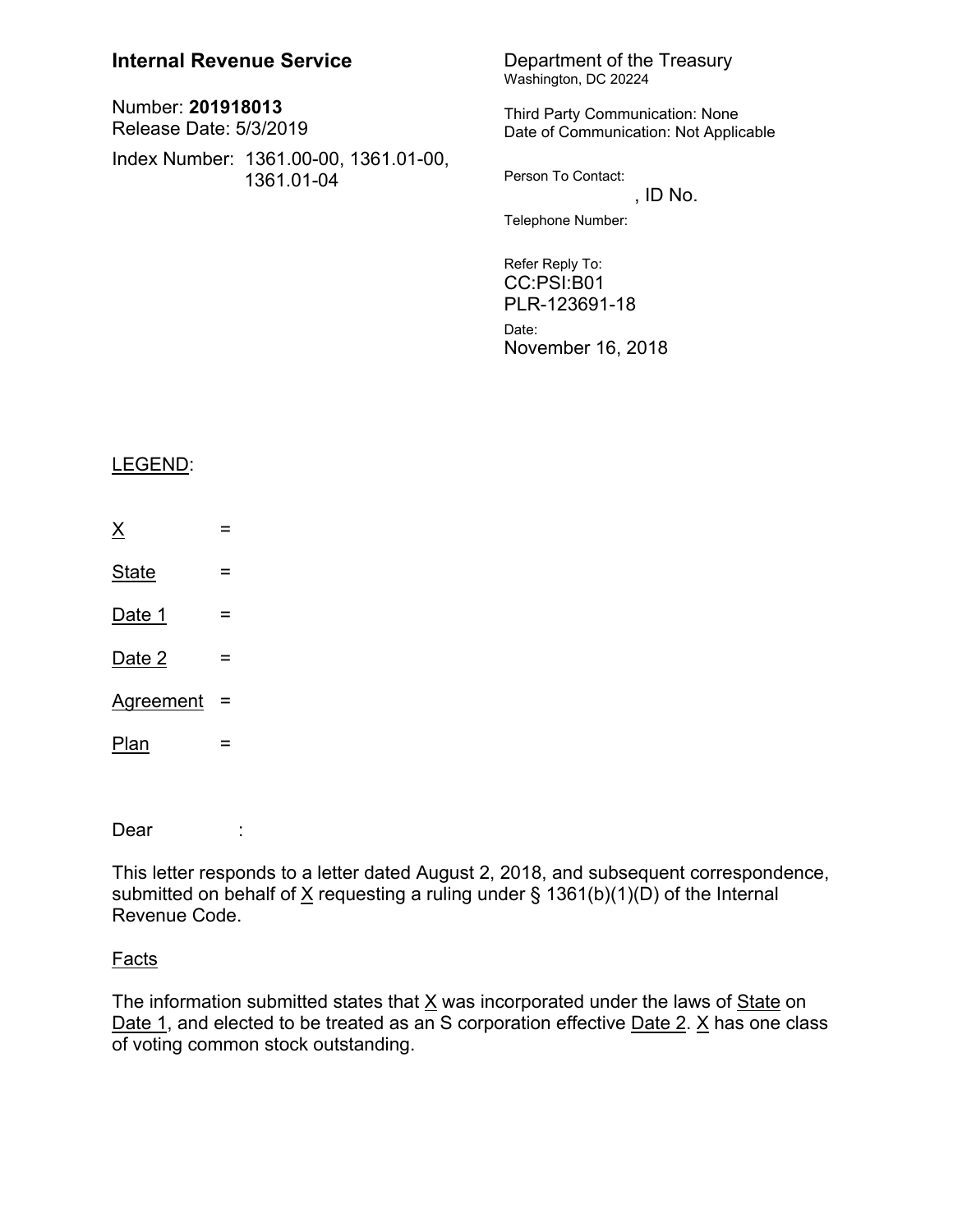| <b>Internal Revenue Service</b>                     | Department of the Treasury<br>Washington, DC 20224                              |
|-----------------------------------------------------|---------------------------------------------------------------------------------|
| Number: 201918013<br><b>Release Date: 5/3/2019</b>  | <b>Third Party Communication: None</b><br>Date of Communication: Not Applicable |
| Index Number: 1361.00-00, 1361.01-00,<br>1361.01-04 | Person To Contact:<br>, ID No.                                                  |
|                                                     | Telephone Number:                                                               |
|                                                     | Refer Reply To:<br>CC:PSI:B01<br>PLR-123691-18                                  |

Date: November 16, 2018

## LEGEND:

- $\times$   $=$
- $State =$
- $Date 1 =$
- $Date 2 =$
- Agreement =
- Plan = -----------------------------------------------------------------------------------------------------------------

Dear :

This letter responds to a letter dated August 2, 2018, and subsequent correspondence, submitted on behalf of  $X$  requesting a ruling under § 1361(b)(1)(D) of the Internal Revenue Code.

## Facts

The information submitted states that  $\underline{X}$  was incorporated under the laws of  $\underline{State}$  on Date 1, and elected to be treated as an S corporation effective Date 2.  $\times$  has one class of voting common stock outstanding.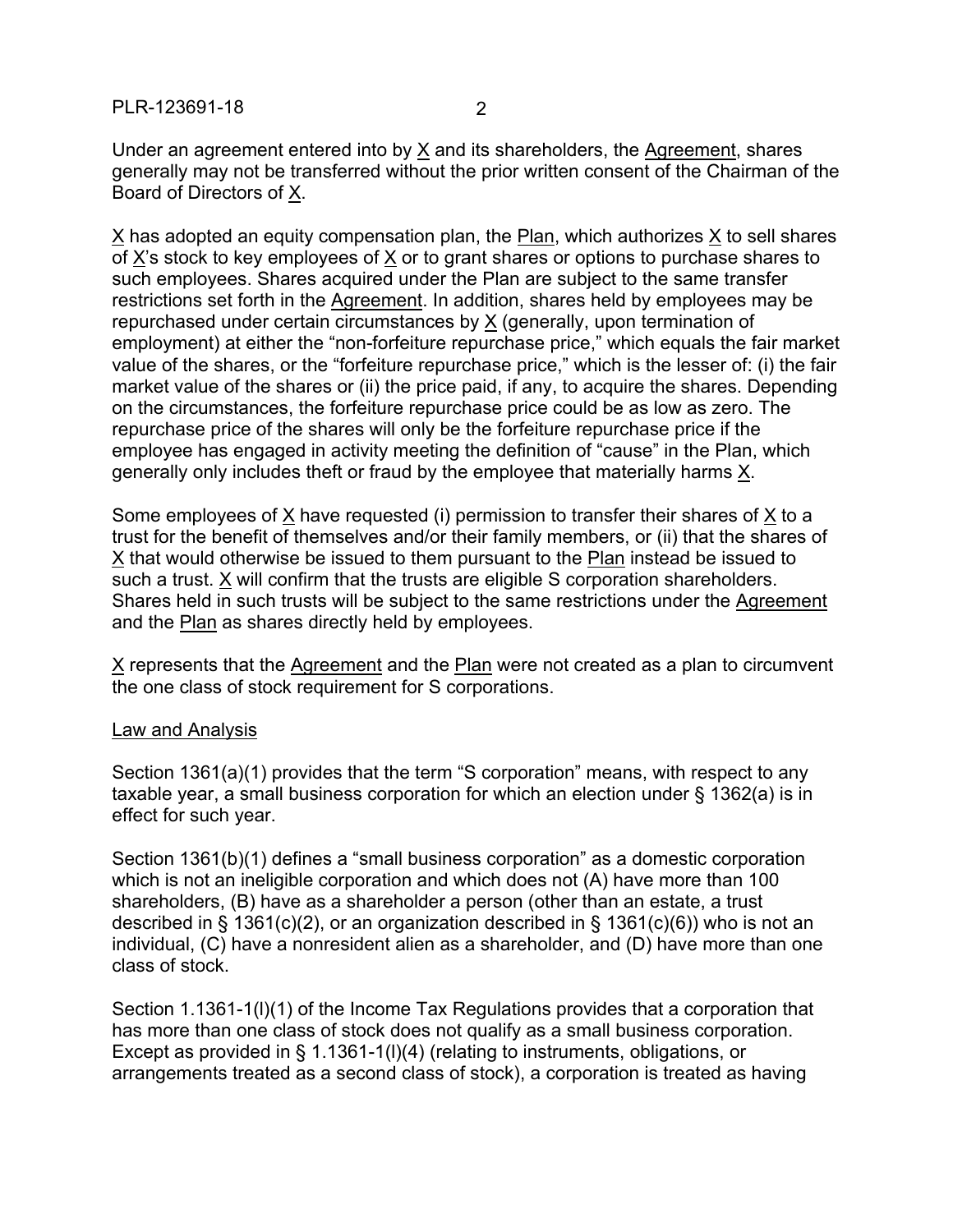Under an agreement entered into by X and its shareholders, the Agreement, shares generally may not be transferred without the prior written consent of the Chairman of the Board of Directors of X.

X has adopted an equity compensation plan, the Plan, which authorizes X to sell shares of X's stock to key employees of X or to grant shares or options to purchase shares to such employees. Shares acquired under the Plan are subject to the same transfer restrictions set forth in the Agreement. In addition, shares held by employees may be repurchased under certain circumstances by X (generally, upon termination of employment) at either the "non-forfeiture repurchase price," which equals the fair market value of the shares, or the "forfeiture repurchase price," which is the lesser of: (i) the fair market value of the shares or (ii) the price paid, if any, to acquire the shares. Depending on the circumstances, the forfeiture repurchase price could be as low as zero. The repurchase price of the shares will only be the forfeiture repurchase price if the employee has engaged in activity meeting the definition of "cause" in the Plan, which generally only includes theft or fraud by the employee that materially harms X.

Some employees of X have requested (i) permission to transfer their shares of X to a trust for the benefit of themselves and/or their family members, or (ii) that the shares of X that would otherwise be issued to them pursuant to the Plan instead be issued to such a trust. X will confirm that the trusts are eligible S corporation shareholders. Shares held in such trusts will be subject to the same restrictions under the Agreement and the **Plan** as shares directly held by employees.

 $X$  represents that the Agreement and the Plan were not created as a plan to circumvent the one class of stock requirement for S corporations.

## Law and Analysis

Section 1361(a)(1) provides that the term "S corporation" means, with respect to any taxable year, a small business corporation for which an election under § 1362(a) is in effect for such year.

Section 1361(b)(1) defines a "small business corporation" as a domestic corporation which is not an ineligible corporation and which does not (A) have more than 100 shareholders, (B) have as a shareholder a person (other than an estate, a trust described in § 1361(c)(2), or an organization described in § 1361(c)(6)) who is not an individual, (C) have a nonresident alien as a shareholder, and (D) have more than one class of stock.

Section 1.1361-1(l)(1) of the Income Tax Regulations provides that a corporation that has more than one class of stock does not qualify as a small business corporation. Except as provided in § 1.1361-1(l)(4) (relating to instruments, obligations, or arrangements treated as a second class of stock), a corporation is treated as having